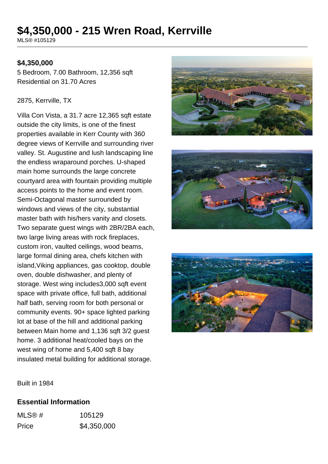# **\$4,350,000 - 215 Wren Road, Kerrville**

MLS® #105129

#### **\$4,350,000**

5 Bedroom, 7.00 Bathroom, 12,356 sqft Residential on 31.70 Acres

#### 2875, Kerrville, TX

Villa Con Vista, a 31.7 acre 12,365 sqft estate outside the city limits, is one of the finest properties available in Kerr County with 360 degree views of Kerrville and surrounding river valley. St. Augustine and lush landscaping line the endless wraparound porches. U-shaped main home surrounds the large concrete courtyard area with fountain providing multiple access points to the home and event room. Semi-Octagonal master surrounded by windows and views of the city, substantial master bath with his/hers vanity and closets. Two separate guest wings with 2BR/2BA each, two large living areas with rock fireplaces, custom iron, vaulted ceilings, wood beams, large formal dining area, chefs kitchen with island,Viking appliances, gas cooktop, double oven, double dishwasher, and plenty of storage. West wing includes3,000 sqft event space with private office, full bath, additional half bath, serving room for both personal or community events. 90+ space lighted parking lot at base of the hill and additional parking between Main home and 1,136 sqft 3/2 guest home. 3 additional heat/cooled bays on the west wing of home and 5,400 sqft 8 bay insulated metal building for additional storage.







Built in 1984

#### **Essential Information**

| MLS@# | 105129      |
|-------|-------------|
| Price | \$4,350,000 |